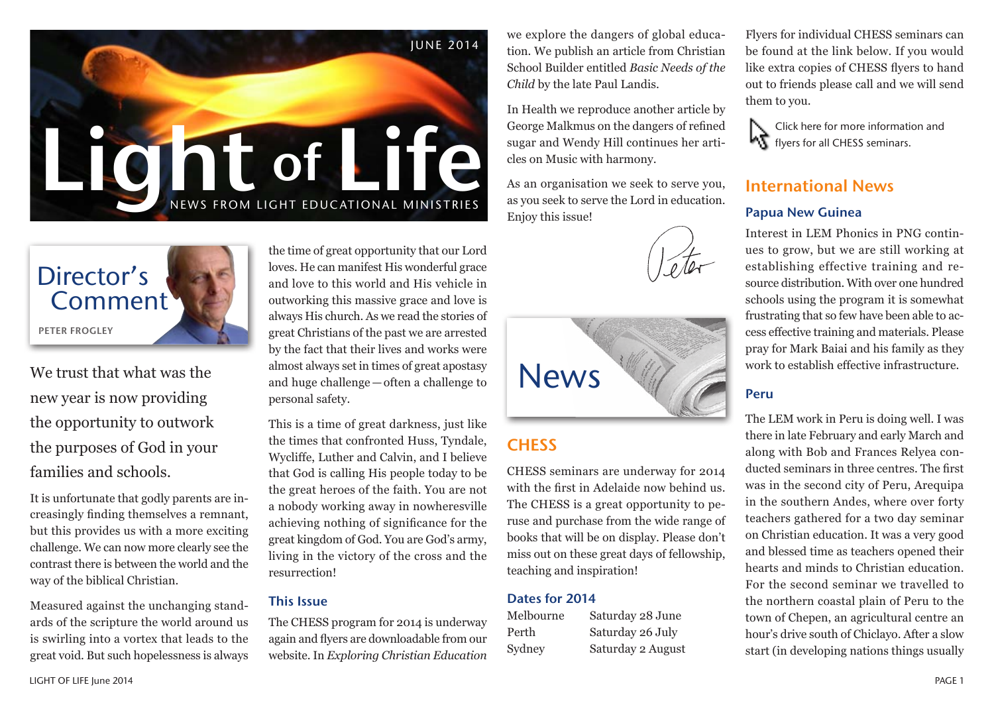



We trust that what was the new year is now providing the opportunity to outwork the purposes of God in your families and schools.

It is unfortunate that godly parents are increasingly finding themselves a remnant, but this provides us with a more exciting challenge. We can now more clearly see the contrast there is between the world and the way of the biblical Christian.

Measured against the unchanging standards of the scripture the world around us is swirling into a vortex that leads to the great void. But such hopelessness is always

the time of great opportunity that our Lord loves. He can manifest His wonderful grace and love to this world and His vehicle in outworking this massive grace and love is always His church. As we read the stories of great Christians of the past we are arrested by the fact that their lives and works were almost always set in times of great apostasy and huge challenge—often a challenge to personal safety.

This is a time of great darkness, just like the times that confronted Huss, Tyndale, Wycliffe, Luther and Calvin, and I believe that God is calling His people today to be the great heroes of the faith. You are not a nobody working away in nowheresville achieving nothing of significance for the great kingdom of God. You are God's army, living in the victory of the cross and the resurrection!

#### This Issue

The CHESS program for 2014 is underway again and flyers are downloadable from our website. In *Exploring Christian Education* we explore the dangers of global education. We publish an article from Christian School Builder entitled *Basic Needs of the Child* by the late Paul Landis.

In Health we reproduce another article by George Malkmus on the dangers of refined sugar and Wendy Hill continues her articles on Music with harmony.

As an organisation we seek to serve you, as you seek to serve the Lord in education. Enjoy this issue!





# **CHESS**

CHESS seminars are underway for 2014 with the first in Adelaide now behind us. The CHESS is a great opportunity to peruse and purchase from the wide range of books that will be on display. Please don't miss out on these great days of fellowship, teaching and inspiration!

#### Dates for 2014

| Melbourne | Saturday 28 June  |
|-----------|-------------------|
| Perth     | Saturday 26 July  |
| Sydney    | Saturday 2 August |

Flyers for individual CHESS seminars can be found at the link below. If you would like extra copies of CHESS flyers to hand out to friends please call and we will send them to you.



## International News

#### Papua New Guinea

Interest in LEM Phonics in PNG continues to grow, but we are still working at establishing effective training and resource distribution. With over one hundred schools using the program it is somewhat frustrating that so few have been able to access effective training and materials. Please pray for Mark Baiai and his family as they work to establish effective infrastructure.

#### Peru

The LEM work in Peru is doing well. I was there in late February and early March and along with Bob and Frances Relyea conducted seminars in three centres. The first was in the second city of Peru, Arequipa in the southern Andes, where over forty teachers gathered for a two day seminar on Christian education. It was a very good and blessed time as teachers opened their hearts and minds to Christian education. For the second seminar we travelled to the northern coastal plain of Peru to the town of Chepen, an agricultural centre an hour's drive south of Chiclayo. After a slow start (in developing nations things usually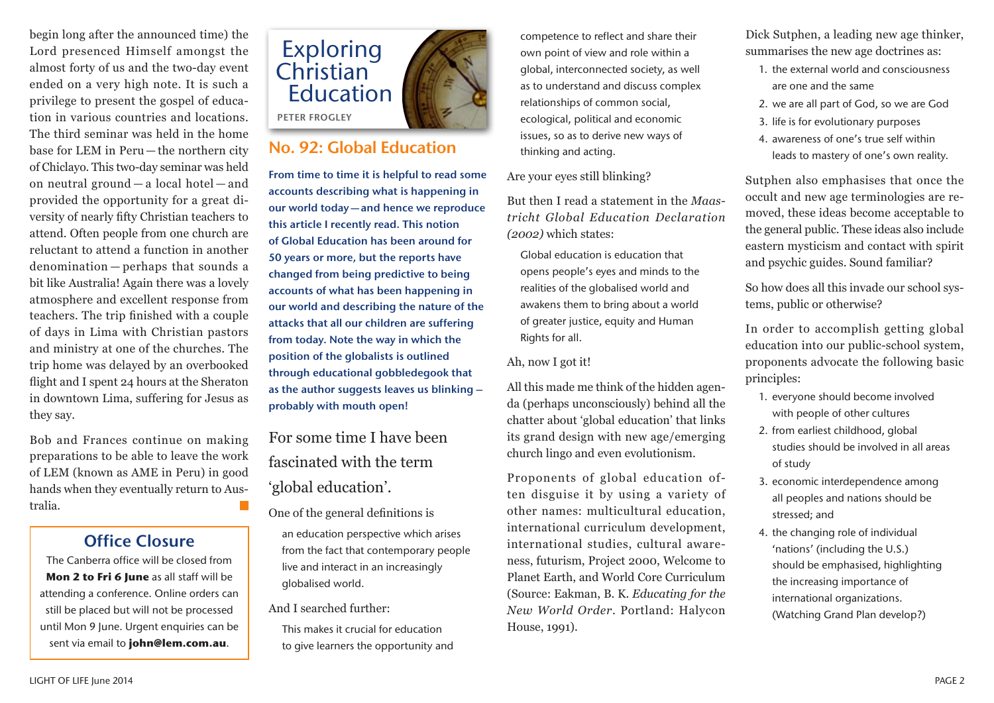begin long after the announced time) the Lord presenced Himself amongst the almost forty of us and the two-day event ended on a very high note. It is such a privilege to present the gospel of education in various countries and locations. The third seminar was held in the home base for LEM in Peru — the northern city of Chiclayo. This two-day seminar was held on neutral ground — a local hotel — and provided the opportunity for a great diversity of nearly fifty Christian teachers to attend. Often people from one church are reluctant to attend a function in another denomination — perhaps that sounds a bit like Australia! Again there was a lovely atmosphere and excellent response from teachers. The trip finished with a couple of days in Lima with Christian pastors and ministry at one of the churches. The trip home was delayed by an overbooked flight and I spent 24 hours at the Sheraton in downtown Lima, suffering for Jesus as they say.

Bob and Frances continue on making preparations to be able to leave the work of LEM (known as AME in Peru) in good hands when they eventually return to Australia.

## Office Closure

The Canberra office will be closed from **Mon 2 to Fri 6 June** as all staff will be attending a conference. Online orders can still be placed but will not be processed until Mon 9 June. Urgent enquiries can be sent via email to **john@lem.com.au**.



# No. 92: Global Education

From time to time it is helpful to read some accounts describing what is happening in our world today—and hence we reproduce this article I recently read. This notion of Global Education has been around for 50 years or more, but the reports have changed from being predictive to being accounts of what has been happening in our world and describing the nature of the attacks that all our children are suffering from today. Note the way in which the position of the globalists is outlined through educational gobbledegook that as the author suggests leaves us blinking  $$ probably with mouth open!

For some time I have been fascinated with the term 'global education'.

One of the general definitions is

an education perspective which arises from the fact that contemporary people live and interact in an increasingly globalised world.

#### And I searched further:

This makes it crucial for education to give learners the opportunity and competence to reflect and share their own point of view and role within a global, interconnected society, as well as to understand and discuss complex relationships of common social, ecological, political and economic issues, so as to derive new ways of thinking and acting.

Are your eyes still blinking?

But then I read a statement in the *Maastricht Global Education Declaration (2002)* which states:

Global education is education that opens people's eyes and minds to the realities of the globalised world and awakens them to bring about a world of greater justice, equity and Human Rights for all.

Ah, now I got it!

All this made me think of the hidden agenda (perhaps unconsciously) behind all the chatter about 'global education' that links its grand design with new age/emerging church lingo and even evolutionism.

Proponents of global education often disguise it by using a variety of other names: multicultural education, international curriculum development, international studies, cultural awareness, futurism, Project 2000, Welcome to Planet Earth, and World Core Curriculum (Source: Eakman, B. K. *Educating for the New World Order*. Portland: Halycon House, 1991).

Dick Sutphen, a leading new age thinker, summarises the new age doctrines as:

- 1. the external world and consciousness are one and the same
- 2. we are all part of God, so we are God
- 3. life is for evolutionary purposes
- 4. awareness of one's true self within leads to mastery of one's own reality.

Sutphen also emphasises that once the occult and new age terminologies are removed, these ideas become acceptable to the general public. These ideas also include eastern mysticism and contact with spirit and psychic guides. Sound familiar?

So how does all this invade our school systems, public or otherwise?

In order to accomplish getting global education into our public-school system, proponents advocate the following basic principles:

- 1. everyone should become involved with people of other cultures
- 2. from earliest childhood, global studies should be involved in all areas of study
- 3. economic interdependence among all peoples and nations should be stressed; and
- 4. the changing role of individual 'nations' (including the U.S.) should be emphasised, highlighting the increasing importance of international organizations. (Watching Grand Plan develop?)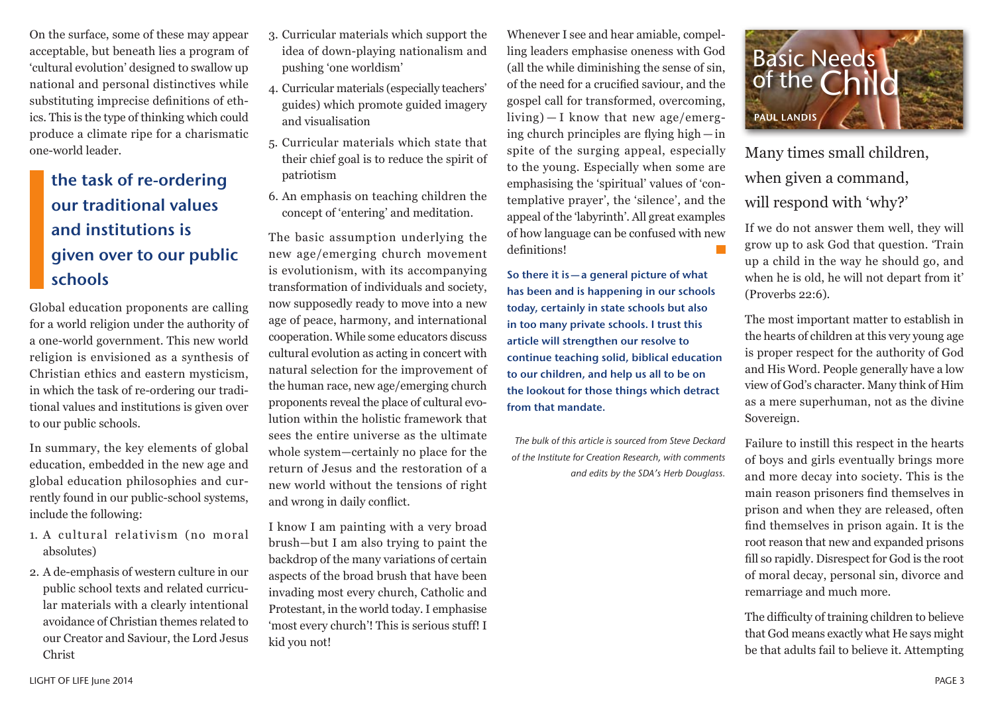On the surface, some of these may appear acceptable, but beneath lies a program of 'cultural evolution' designed to swallow up national and personal distinctives while substituting imprecise definitions of ethics. This is the type of thinking which could produce a climate ripe for a charismatic one-world leader.

# the task of re-ordering our traditional values and institutions is given over to our public schools

Global education proponents are calling for a world religion under the authority of a one-world government. This new world religion is envisioned as a synthesis of Christian ethics and eastern mysticism, in which the task of re-ordering our traditional values and institutions is given over to our public schools.

In summary, the key elements of global education, embedded in the new age and global education philosophies and currently found in our public-school systems, include the following:

- 1. A cultural relativism (no moral absolutes)
- 2. A de-emphasis of western culture in our public school texts and related curricular materials with a clearly intentional avoidance of Christian themes related to our Creator and Saviour, the Lord Jesus Christ
- 3. Curricular materials which support the idea of down-playing nationalism and pushing 'one worldism'
- 4. Curricular materials (especially teachers' guides) which promote guided imagery and visualisation
- 5. Curricular materials which state that their chief goal is to reduce the spirit of patriotism
- 6. An emphasis on teaching children the concept of 'entering' and meditation.

The basic assumption underlying the new age/emerging church movement is evolutionism, with its accompanying transformation of individuals and society, now supposedly ready to move into a new age of peace, harmony, and international cooperation. While some educators discuss cultural evolution as acting in concert with natural selection for the improvement of the human race, new age/emerging church proponents reveal the place of cultural evolution within the holistic framework that sees the entire universe as the ultimate whole system—certainly no place for the return of Jesus and the restoration of a new world without the tensions of right and wrong in daily conflict.

I know I am painting with a very broad brush—but I am also trying to paint the backdrop of the many variations of certain aspects of the broad brush that have been invading most every church, Catholic and Protestant, in the world today. I emphasise 'most every church'! This is serious stuff! I kid you not!

Whenever I see and hear amiable, compelling leaders emphasise oneness with God (all the while diminishing the sense of sin, of the need for a crucified saviour, and the gospel call for transformed, overcoming, living) — I know that new age/emerging church principles are flying high — in spite of the surging appeal, especially to the young. Especially when some are emphasising the 'spiritual' values of 'contemplative prayer', the 'silence', and the appeal of the 'labyrinth'. All great examples of how language can be confused with new definitions!

So there it is—a general picture of what has been and is happening in our schools today, certainly in state schools but also in too many private schools. I trust this article will strengthen our resolve to continue teaching solid, biblical education to our children, and help us all to be on the lookout for those things which detract from that mandate.

*The bulk of this article is sourced from Steve Deckard of the Institute for Creation Research, with comments and edits by the SDA's Herb Douglass.*



Many times small children, when given a command, will respond with 'why?'

If we do not answer them well, they will grow up to ask God that question. 'Train up a child in the way he should go, and when he is old, he will not depart from it' (Proverbs 22:6).

The most important matter to establish in the hearts of children at this very young age is proper respect for the authority of God and His Word. People generally have a low view of God's character. Many think of Him as a mere superhuman, not as the divine Sovereign.

Failure to instill this respect in the hearts of boys and girls eventually brings more and more decay into society. This is the main reason prisoners find themselves in prison and when they are released, often find themselves in prison again. It is the root reason that new and expanded prisons fill so rapidly. Disrespect for God is the root of moral decay, personal sin, divorce and remarriage and much more.

The difficulty of training children to believe that God means exactly what He says might be that adults fail to believe it. Attempting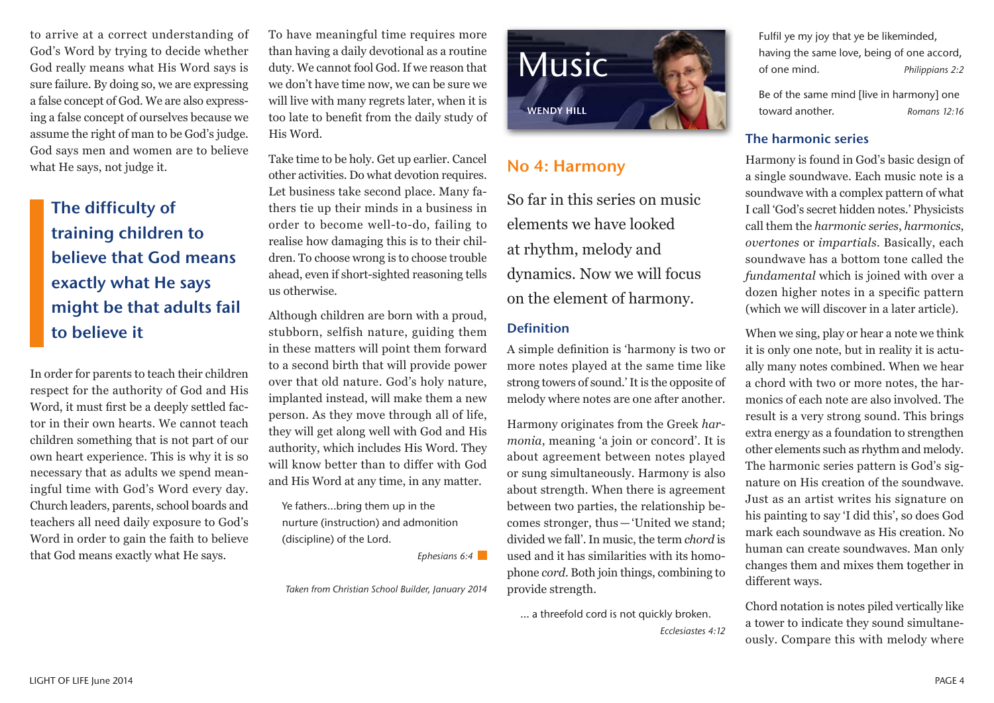to arrive at a correct understanding of God's Word by trying to decide whether God really means what His Word says is sure failure. By doing so, we are expressing a false concept of God. We are also expressing a false concept of ourselves because we assume the right of man to be God's judge. God says men and women are to believe what He says, not judge it.

# The difficulty of training children to believe that God means exactly what He says might be that adults fail to believe it

In order for parents to teach their children respect for the authority of God and His Word, it must first be a deeply settled factor in their own hearts. We cannot teach children something that is not part of our own heart experience. This is why it is so necessary that as adults we spend meaningful time with God's Word every day. Church leaders, parents, school boards and teachers all need daily exposure to God's Word in order to gain the faith to believe that God means exactly what He says.

To have meaningful time requires more than having a daily devotional as a routine duty. We cannot fool God. If we reason that we don't have time now, we can be sure we will live with many regrets later, when it is too late to benefit from the daily study of His Word.

Take time to be holy. Get up earlier. Cancel other activities. Do what devotion requires. Let business take second place. Many fathers tie up their minds in a business in order to become well-to-do, failing to realise how damaging this is to their children. To choose wrong is to choose trouble ahead, even if short-sighted reasoning tells us otherwise.

Although children are born with a proud, stubborn, selfish nature, guiding them in these matters will point them forward to a second birth that will provide power over that old nature. God's holy nature, implanted instead, will make them a new person. As they move through all of life, they will get along well with God and His authority, which includes His Word. They will know better than to differ with God and His Word at any time, in any matter.

Ye fathers...bring them up in the nurture (instruction) and admonition (discipline) of the Lord.

*Ephesians 6:4*

*Taken from Christian School Builder, January 2014*



## No 4: Harmony

So far in this series on music elements we have looked at rhythm, melody and dynamics. Now we will focus on the element of harmony.

#### Definition

A simple definition is 'harmony is two or more notes played at the same time like strong towers of sound.' It is the opposite of melody where notes are one after another.

Harmony originates from the Greek *harmonia*, meaning 'a join or concord'. It is about agreement between notes played or sung simultaneously. Harmony is also about strength. When there is agreement between two parties, the relationship becomes stronger, thus — 'United we stand; divided we fall'. In music, the term *chord* is used and it has similarities with its homophone *cord*. Both join things, combining to provide strength.

... a threefold cord is not quickly broken. *Ecclesiastes 4:12*

Fulfil ye my joy that ye be likeminded, having the same love, being of one accord, of one mind. *Philippians 2:2*

Be of the same mind [live in harmony] one toward another. *Romans 12:16*

#### The harmonic series

Harmony is found in God's basic design of a single soundwave. Each music note is a soundwave with a complex pattern of what I call 'God's secret hidden notes.' Physicists call them the *harmonic series*, *harmonics*, *overtones* or *impartials*. Basically, each soundwave has a bottom tone called the *fundamental* which is joined with over a dozen higher notes in a specific pattern (which we will discover in a later article).

When we sing, play or hear a note we think it is only one note, but in reality it is actually many notes combined. When we hear a chord with two or more notes, the harmonics of each note are also involved. The result is a very strong sound. This brings extra energy as a foundation to strengthen other elements such as rhythm and melody. The harmonic series pattern is God's signature on His creation of the soundwave. Just as an artist writes his signature on his painting to say 'I did this', so does God mark each soundwave as His creation. No human can create soundwaves. Man only changes them and mixes them together in different ways.

Chord notation is notes piled vertically like a tower to indicate they sound simultaneously. Compare this with melody where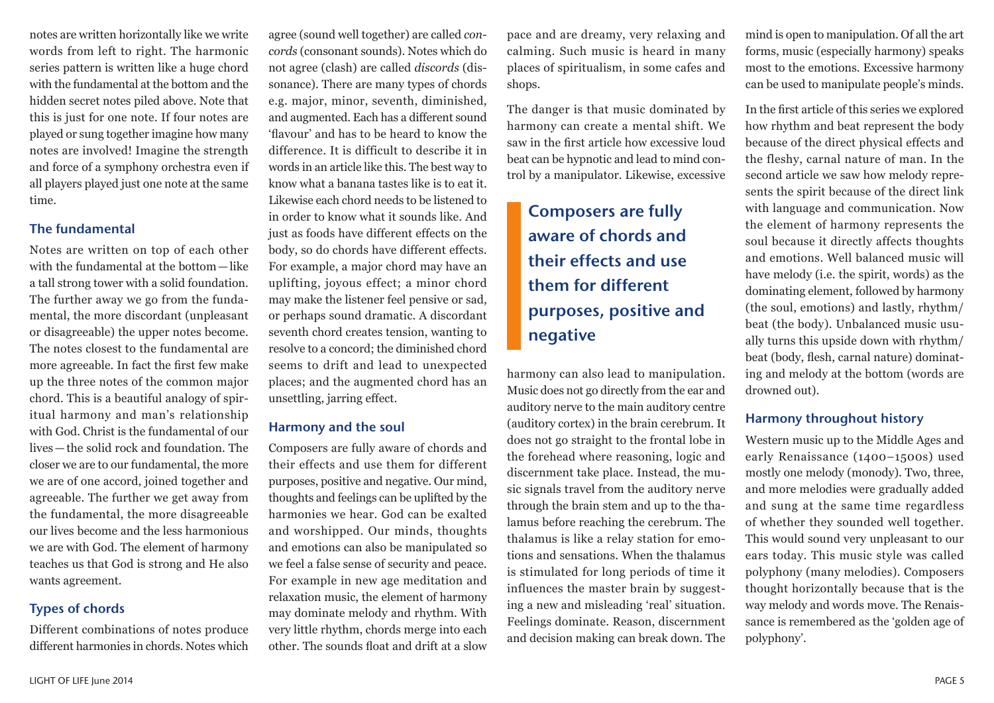notes are written horizontally like we write words from left to right. The harmonic series pattern is written like a huge chord with the fundamental at the bottom and the hidden secret notes piled above. Note that this is just for one note. If four notes are played or sung together imagine how many notes are involved! Imagine the strength and force of a symphony orchestra even if all players played just one note at the same time.

#### The fundamental

Notes are written on top of each other with the fundamental at the bottom—like a tall strong tower with a solid foundation. The further away we go from the fundamental, the more discordant (unpleasant or disagreeable) the upper notes become. The notes closest to the fundamental are more agreeable. In fact the first few make up the three notes of the common major chord. This is a beautiful analogy of spiritual harmony and man's relationship with God. Christ is the fundamental of our lives—the solid rock and foundation. The closer we are to our fundamental, the more we are of one accord, joined together and agreeable. The further we get away from the fundamental, the more disagreeable our lives become and the less harmonious we are with God. The element of harmony teaches us that God is strong and He also wants agreement.

#### Types of chords

Different combinations of notes produce different harmonies in chords. Notes which

agree (sound well together) are called *concords* (consonant sounds). Notes which do not agree (clash) are called *discords* (dissonance). There are many types of chords e.g. major, minor, seventh, diminished, and augmented. Each has a different sound 'flavour' and has to be heard to know the difference. It is difficult to describe it in words in an article like this. The best way to know what a banana tastes like is to eat it. Likewise each chord needs to be listened to in order to know what it sounds like. And just as foods have different effects on the body, so do chords have different effects. For example, a major chord may have an uplifting, joyous effect; a minor chord may make the listener feel pensive or sad, or perhaps sound dramatic. A discordant seventh chord creates tension, wanting to resolve to a concord; the diminished chord seems to drift and lead to unexpected places; and the augmented chord has an unsettling, jarring effect.

#### Harmony and the soul

Composers are fully aware of chords and their effects and use them for different purposes, positive and negative. Our mind, thoughts and feelings can be uplifted by the harmonies we hear. God can be exalted and worshipped. Our minds, thoughts and emotions can also be manipulated so we feel a false sense of security and peace. For example in new age meditation and relaxation music, the element of harmony may dominate melody and rhythm. With very little rhythm, chords merge into each other. The sounds float and drift at a slow

pace and are dreamy, very relaxing and calming. Such music is heard in many places of spiritualism, in some cafes and shops.

The danger is that music dominated by harmony can create a mental shift. We saw in the first article how excessive loud beat can be hypnotic and lead to mind control by a manipulator. Likewise, excessive

Composers are fully aware of chords and their effects and use them for different purposes, positive and negative

harmony can also lead to manipulation. Music does not go directly from the ear and auditory nerve to the main auditory centre (auditory cortex) in the brain cerebrum. It does not go straight to the frontal lobe in the forehead where reasoning, logic and discernment take place. Instead, the music signals travel from the auditory nerve through the brain stem and up to the thalamus before reaching the cerebrum. The thalamus is like a relay station for emotions and sensations. When the thalamus is stimulated for long periods of time it influences the master brain by suggesting a new and misleading 'real' situation. Feelings dominate. Reason, discernment and decision making can break down. The

mind is open to manipulation. Of all the art forms, music (especially harmony) speaks most to the emotions. Excessive harmony can be used to manipulate people's minds.

In the first article of this series we explored how rhythm and beat represent the body because of the direct physical effects and the fleshy, carnal nature of man. In the second article we saw how melody represents the spirit because of the direct link with language and communication. Now the element of harmony represents the soul because it directly affects thoughts and emotions. Well balanced music will have melody (i.e. the spirit, words) as the dominating element, followed by harmony (the soul, emotions) and lastly, rhythm/ beat (the body). Unbalanced music usually turns this upside down with rhythm/ beat (body, flesh, carnal nature) dominating and melody at the bottom (words are drowned out).

#### Harmony throughout history

Western music up to the Middle Ages and early Renaissance (1400–1500s) used mostly one melody (monody). Two, three, and more melodies were gradually added and sung at the same time regardless of whether they sounded well together. This would sound very unpleasant to our ears today. This music style was called polyphony (many melodies). Composers thought horizontally because that is the way melody and words move. The Renaissance is remembered as the 'golden age of polyphony'.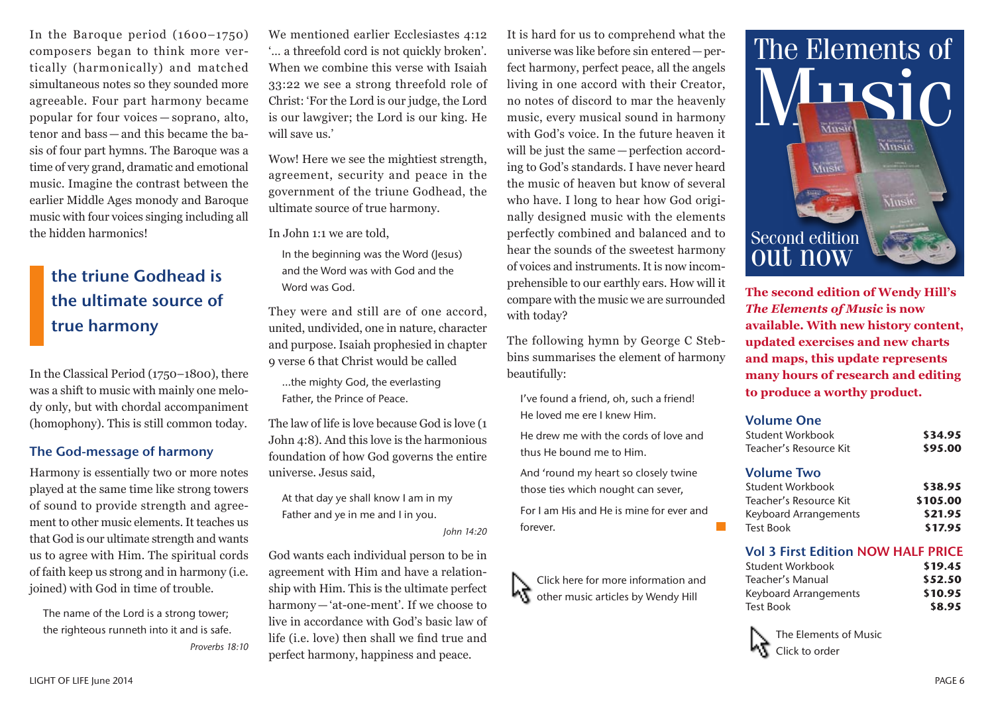In the Baroque period (1600–1750) composers began to think more vertically (harmonically) and matched simultaneous notes so they sounded more agreeable. Four part harmony became popular for four voices — soprano, alto, tenor and bass — and this became the basis of four part hymns. The Baroque was a time of very grand, dramatic and emotional music. Imagine the contrast between the earlier Middle Ages monody and Baroque music with four voices singing including all the hidden harmonics!

# the triune Godhead is the ultimate source of true harmony

In the Classical Period (1750–1800), there was a shift to music with mainly one melody only, but with chordal accompaniment (homophony). This is still common today.

#### The God-message of harmony

Harmony is essentially two or more notes played at the same time like strong towers of sound to provide strength and agreement to other music elements. It teaches us that God is our ultimate strength and wants us to agree with Him. The spiritual cords of faith keep us strong and in harmony (i.e. joined) with God in time of trouble.

The name of the Lord is a strong tower; the righteous runneth into it and is safe. *Proverbs 18:10* We mentioned earlier Ecclesiastes 4:12 '… a threefold cord is not quickly broken'. When we combine this verse with Isaiah 33:22 we see a strong threefold role of Christ: 'For the Lord is our judge, the Lord is our lawgiver; the Lord is our king. He will save us.'

Wow! Here we see the mightiest strength, agreement, security and peace in the government of the triune Godhead, the ultimate source of true harmony.

In John 1:1 we are told,

In the beginning was the Word (Jesus) and the Word was with God and the Word was God.

They were and still are of one accord, united, undivided, one in nature, character and purpose. Isaiah prophesied in chapter 9 verse 6 that Christ would be called

…the mighty God, the everlasting Father, the Prince of Peace.

The law of life is love because God is love (1 John 4:8). And this love is the harmonious foundation of how God governs the entire universe. Jesus said,

At that day ye shall know I am in my Father and ye in me and I in you.

*John 14:20*

God wants each individual person to be in agreement with Him and have a relationship with Him. This is the ultimate perfect harmony—'at-one-ment'. If we choose to live in accordance with God's basic law of life (i.e. love) then shall we find true and perfect harmony, happiness and peace.

It is hard for us to comprehend what the universe was like before sin entered—perfect harmony, perfect peace, all the angels living in one accord with their Creator, no notes of discord to mar the heavenly music, every musical sound in harmony with God's voice. In the future heaven it will be just the same—perfection according to God's standards. I have never heard the music of heaven but know of several who have. I long to hear how God originally designed music with the elements perfectly combined and balanced and to hear the sounds of the sweetest harmony of voices and instruments. It is now incomprehensible to our earthly ears. How will it compare with the music we are surrounded with today?

The following hymn by George C Stebbins summarises the element of harmony beautifully:

I've found a friend, oh, such a friend! He loved me ere I knew Him.

He drew me with the cords of love and thus He bound me to Him.

And 'round my heart so closely twine those ties which nought can sever, For I am His and He is mine for ever and forever.





**The second edition of Wendy Hill's**  *The Elements of Music* **is now available. With new history content, updated exercises and new charts and maps, this update represents many hours of research and editing to produce a worthy product.**

#### Volume One

| <b>Student Workbook</b>                   | \$34.95        |
|-------------------------------------------|----------------|
| Teacher's Resource Kit                    | \$95.00        |
| <b>Volume Two</b>                         |                |
| Student Workbook                          | \$38.95        |
| Teacher's Resource Kit                    | \$105.00       |
| <b>Keyboard Arrangements</b>              | \$21.95        |
| Test Book                                 | \$17.95        |
| <b>Vol 3 First Edition NOW HALF PRICE</b> |                |
| بالممطيلة والالهودام ينكر                 | ¢ 10 <i>15</i> |

| Student Workbook      | \$19.45 |
|-----------------------|---------|
| Teacher's Manual      | \$52.50 |
| Keyboard Arrangements | \$10.95 |
| Test Book             | \$8.95  |

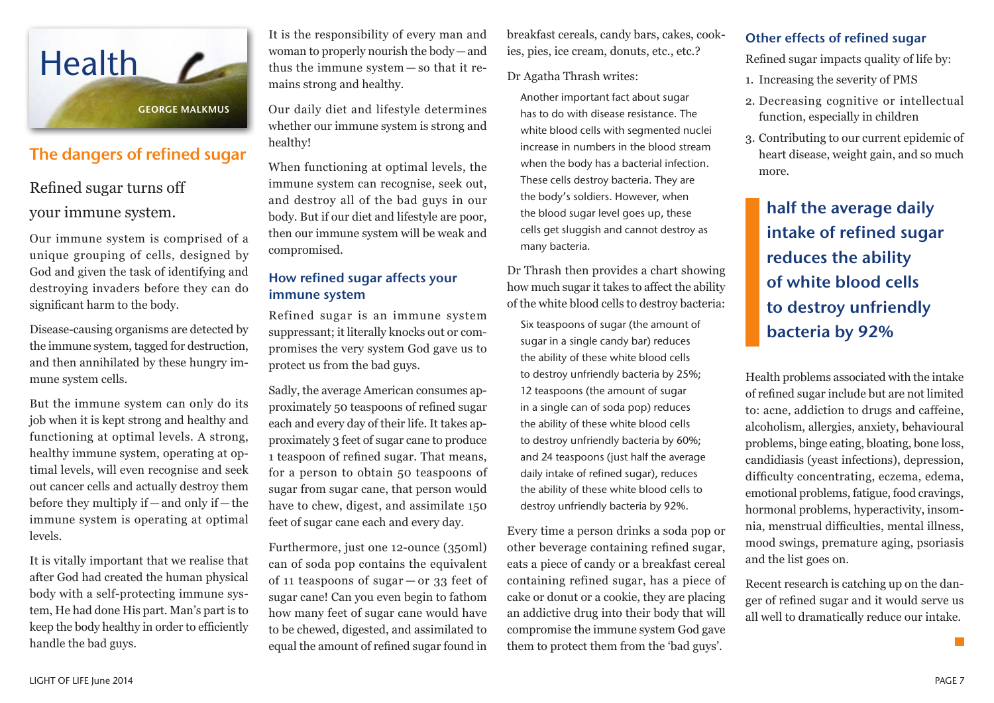

# The dangers of refined sugar

# Refined sugar turns off your immune system.

Our immune system is comprised of a unique grouping of cells, designed by God and given the task of identifying and destroying invaders before they can do significant harm to the body.

Disease-causing organisms are detected by the immune system, tagged for destruction, and then annihilated by these hungry immune system cells.

But the immune system can only do its job when it is kept strong and healthy and functioning at optimal levels. A strong, healthy immune system, operating at optimal levels, will even recognise and seek out cancer cells and actually destroy them before they multiply if —and only if —the immune system is operating at optimal levels.

It is vitally important that we realise that after God had created the human physical body with a self-protecting immune system, He had done His part. Man's part is to keep the body healthy in order to efficiently handle the bad guys.

It is the responsibility of every man and woman to properly nourish the body—and thus the immune system — so that it remains strong and healthy.

Our daily diet and lifestyle determines whether our immune system is strong and healthy!

When functioning at optimal levels, the immune system can recognise, seek out, and destroy all of the bad guys in our body. But if our diet and lifestyle are poor, then our immune system will be weak and compromised.

## How refined sugar affects your immune system

Refined sugar is an immune system suppressant; it literally knocks out or compromises the very system God gave us to protect us from the bad guys.

Sadly, the average American consumes approximately 50 teaspoons of refined sugar each and every day of their life. It takes approximately 3 feet of sugar cane to produce 1 teaspoon of refined sugar. That means, for a person to obtain 50 teaspoons of sugar from sugar cane, that person would have to chew, digest, and assimilate 150 feet of sugar cane each and every day.

Furthermore, just one 12-ounce (350ml) can of soda pop contains the equivalent of 11 teaspoons of sugar — or 33 feet of sugar cane! Can you even begin to fathom how many feet of sugar cane would have to be chewed, digested, and assimilated to equal the amount of refined sugar found in

breakfast cereals, candy bars, cakes, cookies, pies, ice cream, donuts, etc., etc.?

Dr Agatha Thrash writes:

Another important fact about sugar has to do with disease resistance. The white blood cells with segmented nuclei increase in numbers in the blood stream when the body has a bacterial infection. These cells destroy bacteria. They are the body's soldiers. However, when the blood sugar level goes up, these cells get sluggish and cannot destroy as many bacteria.

Dr Thrash then provides a chart showing how much sugar it takes to affect the ability of the white blood cells to destroy bacteria:

Six teaspoons of sugar (the amount of sugar in a single candy bar) reduces the ability of these white blood cells to destroy unfriendly bacteria by 25%; 12 teaspoons (the amount of sugar in a single can of soda pop) reduces the ability of these white blood cells to destroy unfriendly bacteria by 60%; and 24 teaspoons (just half the average daily intake of refined sugar), reduces the ability of these white blood cells to destroy unfriendly bacteria by 92%.

Every time a person drinks a soda pop or other beverage containing refined sugar, eats a piece of candy or a breakfast cereal containing refined sugar, has a piece of cake or donut or a cookie, they are placing an addictive drug into their body that will compromise the immune system God gave them to protect them from the 'bad guys'.

## Other effects of refined sugar

Refined sugar impacts quality of life by:

- 1. Increasing the severity of PMS
- 2. Decreasing cognitive or intellectual function, especially in children
- 3. Contributing to our current epidemic of heart disease, weight gain, and so much more.

half the average daily intake of refined sugar reduces the ability of white blood cells to destroy unfriendly bacteria by 92%

Health problems associated with the intake of refined sugar include but are not limited to: acne, addiction to drugs and caffeine, alcoholism, allergies, anxiety, behavioural problems, binge eating, bloating, bone loss, candidiasis (yeast infections), depression, difficulty concentrating, eczema, edema, emotional problems, fatigue, food cravings, hormonal problems, hyperactivity, insomnia, menstrual difficulties, mental illness, mood swings, premature aging, psoriasis and the list goes on.

Recent research is catching up on the danger of refined sugar and it would serve us all well to dramatically reduce our intake.

m.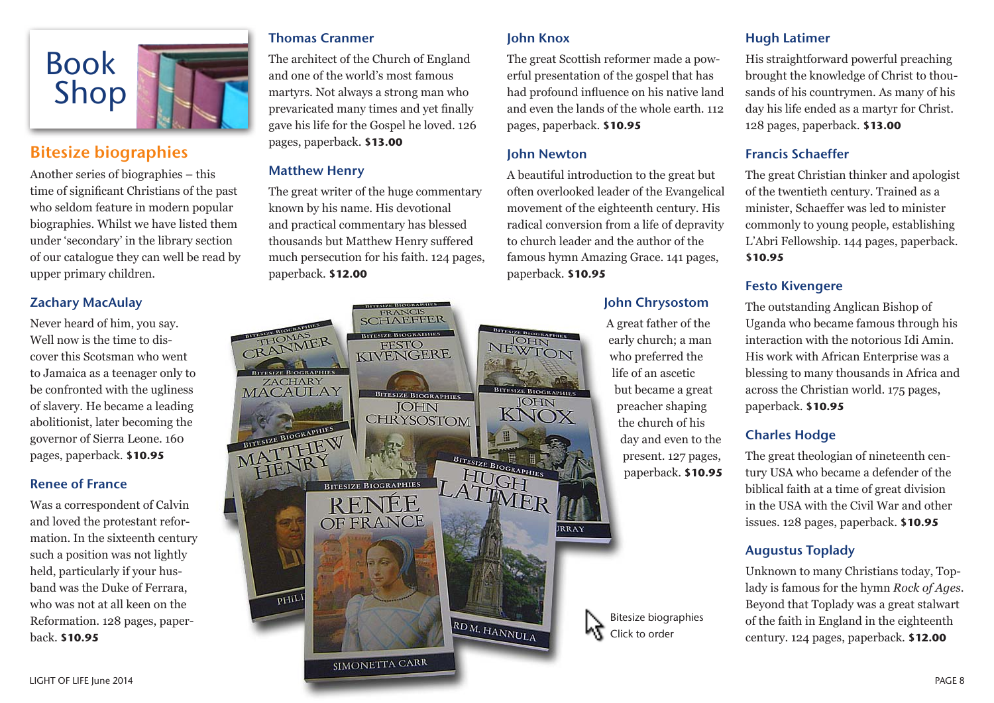

# Bitesize biographies

Another series of biographies – this time of significant Christians of the past who seldom feature in modern popular biographies. Whilst we have listed them under 'secondary' in the library section of our catalogue they can well be read by upper primary children.

## Zachary MacAulay

Never heard of him, you say. Well now is the time to discover this Scotsman who went to Jamaica as a teenager only to be confronted with the ugliness of slavery. He became a leading abolitionist, later becoming the governor of Sierra Leone. 160 pages, paperback. **\$10.95**

#### Renee of France

Was a correspondent of Calvin and loved the protestant reformation. In the sixteenth century such a position was not lightly held, particularly if your husband was the Duke of Ferrara, who was not at all keen on the Reformation. 128 pages, paperback. **\$10.95**

### Thomas Cranmer

The architect of the Church of England and one of the world's most famous martyrs. Not always a strong man who prevaricated many times and yet finally gave his life for the Gospel he loved. 126 pages, paperback. **\$13.00**

#### Matthew Henry

The great writer of the huge commentary known by his name. His devotional and practical commentary has blessed thousands but Matthew Henry suffered much persecution for his faith. 124 pages, paperback. **\$12.00**

> **FRANCIS TAEFFER**

### John Knox

The great Scottish reformer made a powerful presentation of the gospel that has had profound influence on his native land and even the lands of the whole earth. 112 pages, paperback. **\$10.95**

#### John Newton

A beautiful introduction to the great but often overlooked leader of the Evangelical movement of the eighteenth century. His radical conversion from a life of depravity to church leader and the author of the famous hymn Amazing Grace. 141 pages, paperback. **\$10.95**

### John Chrysostom

A great father of the early church; a man who preferred the life of an ascetic but became a great preacher shaping the church of his day and even to the present. 127 pages, paperback. **\$10.95**

Bitesize biographies Click to order

### Hugh Latimer

His straightforward powerful preaching brought the knowledge of Christ to thousands of his countrymen. As many of his day his life ended as a martyr for Christ. 128 pages, paperback. **\$13.00**

#### Francis Schaeffer

The great Christian thinker and apologist of the twentieth century. Trained as a minister, Schaeffer was led to minister commonly to young people, establishing L'Abri Fellowship. 144 pages, paperback. **\$10.95**

### Festo Kivengere

The outstanding Anglican Bishop of Uganda who became famous through his interaction with the notorious Idi Amin. His work with African Enterprise was a blessing to many thousands in Africa and across the Christian world. 175 pages, paperback. **\$10.95**

### Charles Hodge

The great theologian of nineteenth century USA who became a defender of the biblical faith at a time of great division in the USA with the Civil War and other issues. 128 pages, paperback. **\$10.95**

### Augustus Toplady

Unknown to many Christians today, Toplady is famous for the hymn *Rock of Ages*. Beyond that Toplady was a great stalwart of the faith in England in the eighteenth century. 124 pages, paperback. **\$12.00**

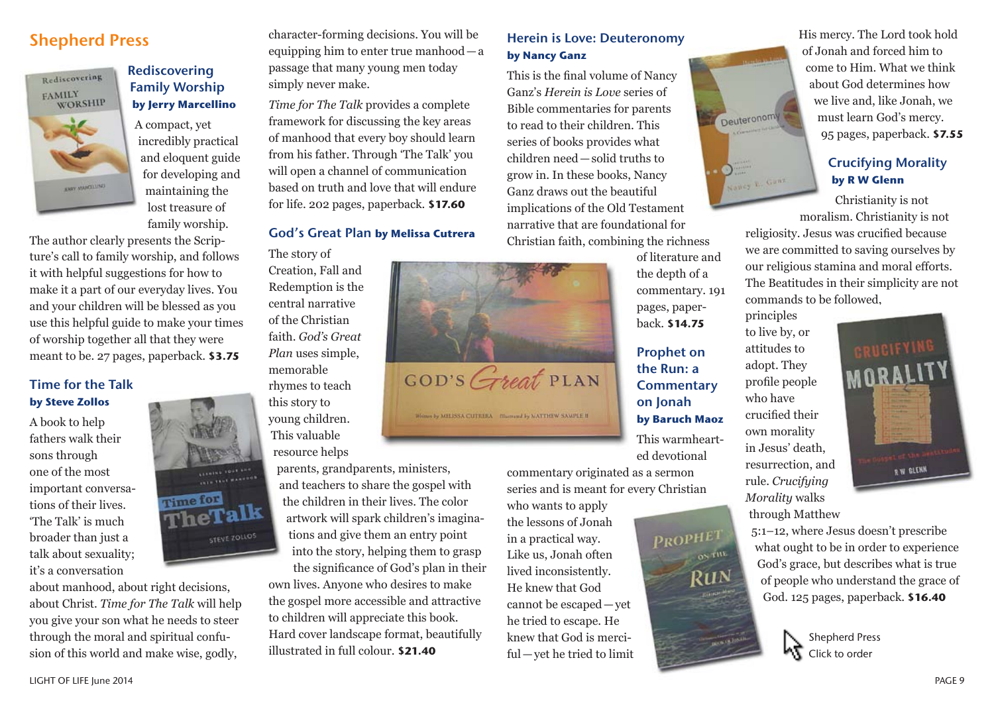# Shepherd Press



Rediscovering Family Worship **by Jerry Marcellino**

A compact, yet incredibly practical and eloquent guide for developing and maintaining the lost treasure of family worship.

The author clearly presents the Scripture's call to family worship, and follows it with helpful suggestions for how to make it a part of our everyday lives. You and your children will be blessed as you use this helpful guide to make your times of worship together all that they were meant to be. 27 pages, paperback. **\$3.75**

## Time for the Talk **by Steve Zollos**

A book to help fathers walk their sons through one of the most important conversations of their lives. 'The Talk' is much broader than just a talk about sexuality; it's a conversation

about manhood, about right decisions, about Christ. *Time for The Talk* will help you give your son what he needs to steer through the moral and spiritual confusion of this world and make wise, godly,

VALUE TRUE WANTED Time for **STEVE ZOLLOS** 

character-forming decisions. You will be equipping him to enter true manhood—a passage that many young men today simply never make.

*Time for The Talk* provides a complete framework for discussing the key areas of manhood that every boy should learn from his father. Through 'The Talk' you will open a channel of communication based on truth and love that will endure for life. 202 pages, paperback. **\$17.60**

## God's Great Plan **by Melissa Cutrera**

The story of

Creation, Fall and Redemption is the central narrative of the Christian faith. *God's Great Plan* uses simple, memorable rhymes to teach

this story to young children. This valuable resource helps

parents, grandparents, ministers, and teachers to share the gospel with the children in their lives. The color artwork will spark children's imaginations and give them an entry point into the story, helping them to grasp the significance of God's plan in their

own lives. Anyone who desires to make the gospel more accessible and attractive to children will appreciate this book. Hard cover landscape format, beautifully illustrated in full colour. **\$21.40**

## Herein is Love: Deuteronomy **by Nancy Ganz**

This is the final volume of Nancy Ganz's *Herein is Love* series of Bible commentaries for parents to read to their children. This series of books provides what children need—solid truths to grow in. In these books, Nancy Ganz draws out the beautiful implications of the Old Testament narrative that are foundational for Christian faith, combining the richness

commentary originated as a sermon series and is meant for every Christian

who wants to apply the lessons of Jonah in a practical way. Like us, Jonah often lived inconsistently. He knew that God cannot be escaped—yet he tried to escape. He knew that God is merciful—yet he tried to limit

of literature and the depth of a commentary. 191 pages, paperback. **\$14.75**

Prophet on the Run: a **Commentary** on Jonah

**by Baruch Maoz** This warmhearted devotional

GOD'S Great PLAN Witten by MELISSA CUTTLERA Thursead by NATTHEW SAWPLE II

Deuteronomy Nancy E. Ganz.

His mercy. The Lord took hold of Jonah and forced him to come to Him. What we think about God determines how we live and, like Jonah, we must learn God's mercy. 95 pages, paperback. **\$7.55**

## Crucifying Morality **by R W Glenn**

Christianity is not moralism. Christianity is not

religiosity. Jesus was crucified because we are committed to saving ourselves by our religious stamina and moral efforts. The Beatitudes in their simplicity are not commands to be followed,

to live by, or attitudes to adopt. They profile people who have crucified their own morality in Jesus' death, resurrection, and rule. *Crucifying Morality* walks

principles



5:1–12, where Jesus doesn't prescribe what ought to be in order to experience God's grace, but describes what is true of people who understand the grace of God. 125 pages, paperback. **\$16.40**

> Shepherd Press いち Click to order

through Matthew PROPHET

LIGHT OF LIFE June 2014 PAGE 9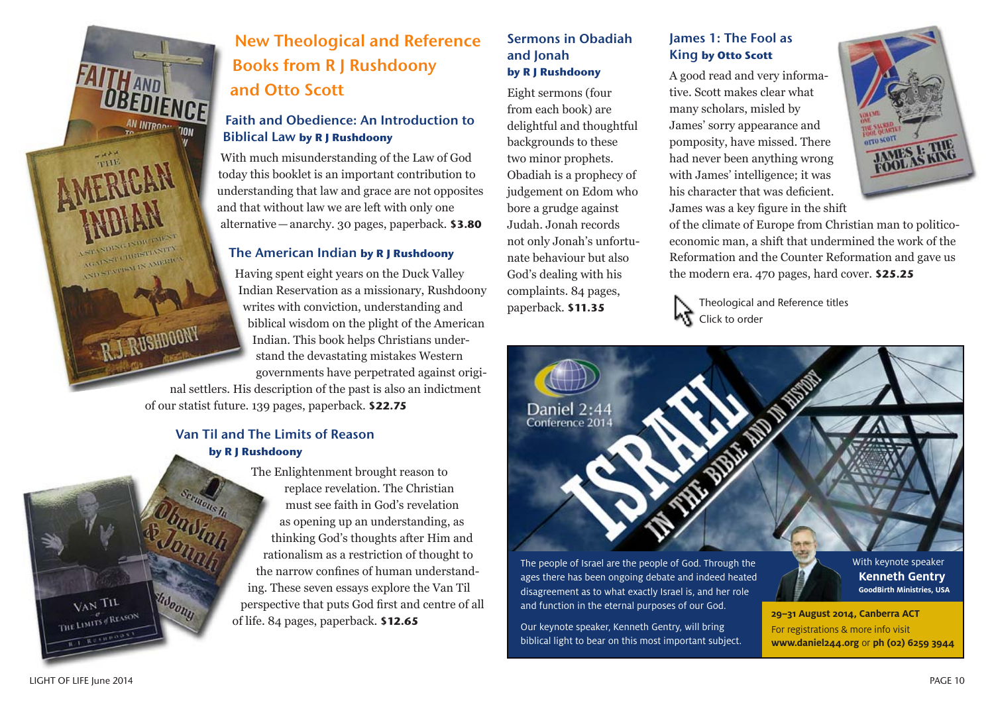

A STANDING ISON TORSET AGAINST CHEEP AMERICA VED 24 AREAL VARIETY

R.J. RUSHDOONY

**Hidoony** 

# New Theological and Reference Books from R J Rushdoony and Otto Scott

## Faith and Obedience: An Introduction to Biblical Law **by R J Rushdoony**

With much misunderstanding of the Law of God today this booklet is an important contribution to understanding that law and grace are not opposites and that without law we are left with only one alternative—anarchy. 30 pages, paperback. **\$3.80**

#### The American Indian **by R J Rushdoony**

Having spent eight years on the Duck Valley Indian Reservation as a missionary, Rushdoony writes with conviction, understanding and biblical wisdom on the plight of the American Indian. This book helps Christians understand the devastating mistakes Western governments have perpetrated against origi-

nal settlers. His description of the past is also an indictment of our statist future. 139 pages, paperback. **\$22.75**

#### Van Til and The Limits of Reason **by R J Rushdoony**

The Enlightenment brought reason to replace revelation. The Christian must see faith in God's revelation as opening up an understanding, as thinking God's thoughts after Him and rationalism as a restriction of thought to the narrow confines of human understanding. These seven essays explore the Van Til perspective that puts God first and centre of all of life. 84 pages, paperback. **\$12.65**

#### Sermons in Obadiah and Jonah **by R J Rushdoony**

Eight sermons (four from each book) are delightful and thoughtful backgrounds to these two minor prophets. Obadiah is a prophecy of judgement on Edom who bore a grudge against Judah. Jonah records not only Jonah's unfortunate behaviour but also God's dealing with his complaints. 84 pages, paperback. **\$11.35**

## James 1: The Fool as King **by Otto Scott**

A good read and very informative. Scott makes clear what many scholars, misled by James' sorry appearance and pomposity, have missed. There had never been anything wrong with James' intelligence; it was his character that was deficient. James was a key figure in the shift



of the climate of Europe from Christian man to politicoeconomic man, a shift that undermined the work of the Reformation and the Counter Reformation and gave us the modern era. 470 pages, hard cover. **\$25.25**



Theological and Reference titles Click to order



LIGHT OF LIFE June 2014 PAGE 10

VAN TIL THE LIMITS of REASON